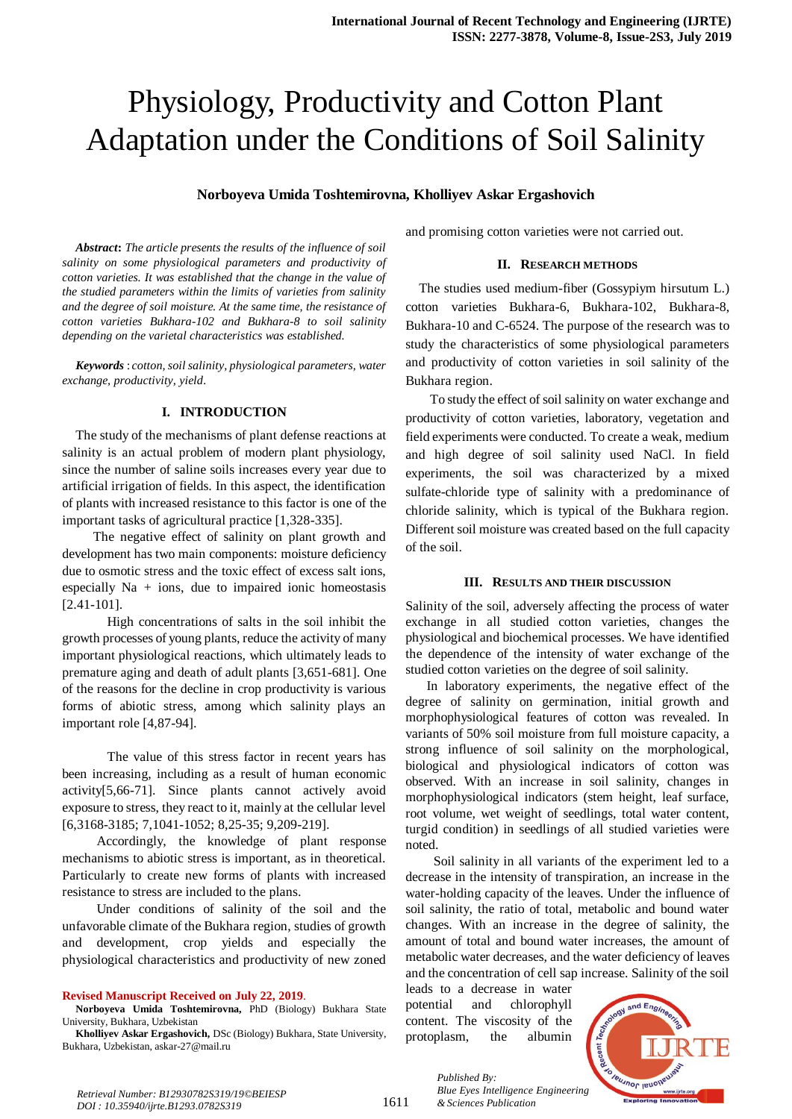# Physiology, Productivity and Cotton Plant Adaptation under the Conditions of Soil Salinity

### **Norboyeva Umida Toshtemirovna, Kholliyev Askar Ergashovich**

*Abstract***:** *The article presents the results of the influence of soil salinity on some physiological parameters and productivity of cotton varieties. It was established that the change in the value of the studied parameters within the limits of varieties from salinity and the degree of soil moisture. At the same time, the resistance of cotton varieties Bukhara-102 and Bukhara-8 to soil salinity depending on the varietal characteristics was established.*

*Keywords* : *cotton, soil salinity, physiological parameters, water exchange, productivity, yield.*

#### **I. INTRODUCTION**

The study of the mechanisms of plant defense reactions at salinity is an actual problem of modern plant physiology, since the number of saline soils increases every year due to artificial irrigation of fields. In this aspect, the identification of plants with increased resistance to this factor is one of the important tasks of agricultural practice [1,328-335].

 The negative effect of salinity on plant growth and development has two main components: moisture deficiency due to osmotic stress and the toxic effect of excess salt ions, especially  $Na + ions$ , due to impaired ionic homeostasis [2.41-101].

 High concentrations of salts in the soil inhibit the growth processes of young plants, reduce the activity of many important physiological reactions, which ultimately leads to premature aging and death of adult plants [3,651-681]. One of the reasons for the decline in crop productivity is various forms of abiotic stress, among which salinity plays an important role [4,87-94].

 The value of this stress factor in recent years has been increasing, including as a result of human economic activity[5,66-71]. Since plants cannot actively avoid exposure to stress, they react to it, mainly at the cellular level [6,3168-3185; 7,1041-1052; 8,25-35; 9,209-219].

 Accordingly, the knowledge of plant response mechanisms to abiotic stress is important, as in theoretical. Particularly to create new forms of plants with increased resistance to stress are included to the plans.

 Under conditions of salinity of the soil and the unfavorable climate of the Bukhara region, studies of growth and development, crop yields and especially the physiological characteristics and productivity of new zoned

#### **Revised Manuscript Received on July 22, 2019**.

**Norboyeva Umida Toshtemirovna,** PhD (Biology) Bukhara State University, Bukhara, Uzbekistan

**Kholliyev Askar Ergashovich,** DSc (Biology) Bukhara, State University, Bukhara, Uzbekistan, askar-27@mail.ru

and promising cotton varieties were not carried out.

#### **II. RESEARCH METHODS**

The studies used medium-fiber (Gossypiym hirsutum L.) cotton varieties Bukhara-6, Bukhara-102, Bukhara-8, Bukhara-10 and C-6524. The purpose of the research was to study the characteristics of some physiological parameters and productivity of cotton varieties in soil salinity of the Bukhara region.

 To study the effect of soil salinity on water exchange and productivity of cotton varieties, laboratory, vegetation and field experiments were conducted. To create a weak, medium and high degree of soil salinity used NaCl. In field experiments, the soil was characterized by a mixed sulfate-chloride type of salinity with a predominance of chloride salinity, which is typical of the Bukhara region. Different soil moisture was created based on the full capacity of the soil.

#### **III. RESULTS AND THEIR DISCUSSION**

Salinity of the soil, adversely affecting the process of water exchange in all studied cotton varieties, changes the physiological and biochemical processes. We have identified the dependence of the intensity of water exchange of the studied cotton varieties on the degree of soil salinity.

 In laboratory experiments, the negative effect of the degree of salinity on germination, initial growth and morphophysiological features of cotton was revealed. In variants of 50% soil moisture from full moisture capacity, a strong influence of soil salinity on the morphological, biological and physiological indicators of cotton was observed. With an increase in soil salinity, changes in morphophysiological indicators (stem height, leaf surface, root volume, wet weight of seedlings, total water content, turgid condition) in seedlings of all studied varieties were noted.

 Soil salinity in all variants of the experiment led to a decrease in the intensity of transpiration, an increase in the water-holding capacity of the leaves. Under the influence of soil salinity, the ratio of total, metabolic and bound water changes. With an increase in the degree of salinity, the amount of total and bound water increases, the amount of metabolic water decreases, and the water deficiency of leaves and the concentration of cell sap increase. Salinity of the soil

leads to a decrease in water potential and chlorophyll content. The viscosity of the protoplasm, the albumin

*& Sciences Publication* 

*Published By:*



*Retrieval Number: B12930782S319/19©BEIESP DOI : 10.35940/ijrte.B1293.0782S319*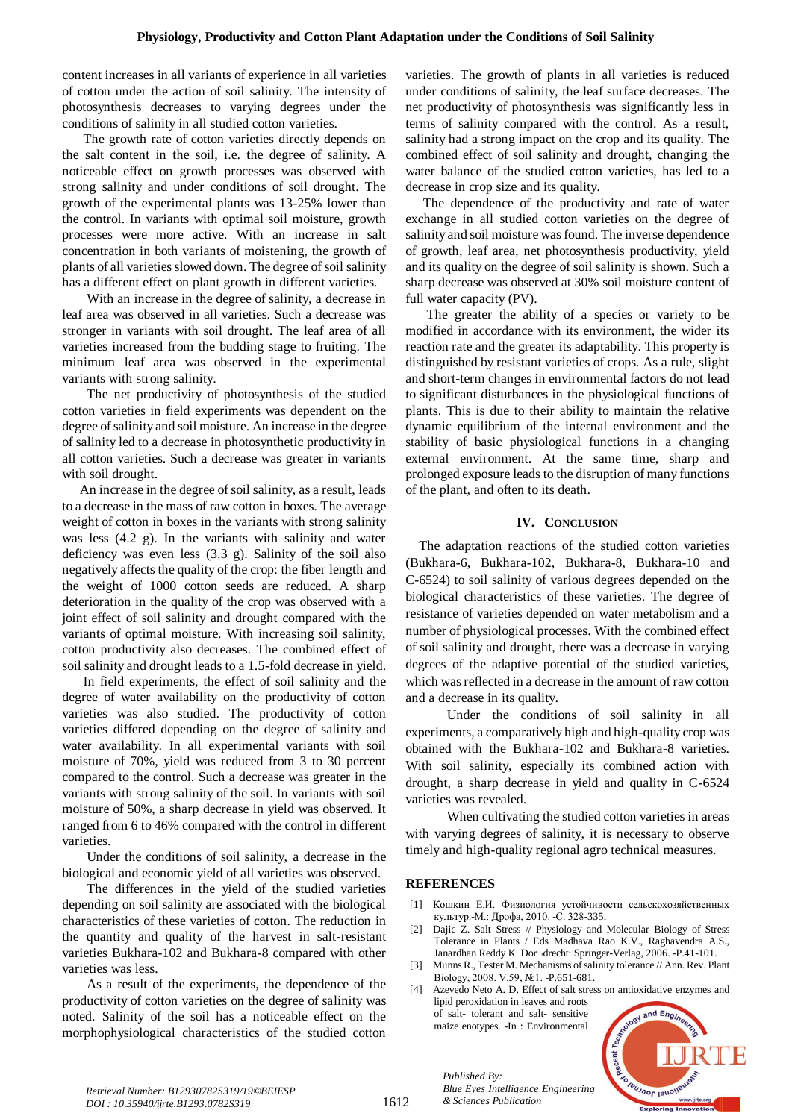content increases in all variants of experience in all varieties of cotton under the action of soil salinity. The intensity of photosynthesis decreases to varying degrees under the conditions of salinity in all studied cotton varieties.

 The growth rate of cotton varieties directly depends on the salt content in the soil, i.e. the degree of salinity. A noticeable effect on growth processes was observed with strong salinity and under conditions of soil drought. The growth of the experimental plants was 13-25% lower than the control. In variants with optimal soil moisture, growth processes were more active. With an increase in salt concentration in both variants of moistening, the growth of plants of all varieties slowed down. The degree of soil salinity has a different effect on plant growth in different varieties.

 With an increase in the degree of salinity, a decrease in leaf area was observed in all varieties. Such a decrease was stronger in variants with soil drought. The leaf area of all varieties increased from the budding stage to fruiting. The minimum leaf area was observed in the experimental variants with strong salinity.

 The net productivity of photosynthesis of the studied cotton varieties in field experiments was dependent on the degree of salinity and soil moisture. An increase in the degree of salinity led to a decrease in photosynthetic productivity in all cotton varieties. Such a decrease was greater in variants with soil drought.

 An increase in the degree of soil salinity, as a result, leads to a decrease in the mass of raw cotton in boxes. The average weight of cotton in boxes in the variants with strong salinity was less (4.2 g). In the variants with salinity and water deficiency was even less (3.3 g). Salinity of the soil also negatively affects the quality of the crop: the fiber length and the weight of 1000 cotton seeds are reduced. A sharp deterioration in the quality of the crop was observed with a joint effect of soil salinity and drought compared with the variants of optimal moisture. With increasing soil salinity, cotton productivity also decreases. The combined effect of soil salinity and drought leads to a 1.5-fold decrease in yield.

 In field experiments, the effect of soil salinity and the degree of water availability on the productivity of cotton varieties was also studied. The productivity of cotton varieties differed depending on the degree of salinity and water availability. In all experimental variants with soil moisture of 70%, yield was reduced from 3 to 30 percent compared to the control. Such a decrease was greater in the variants with strong salinity of the soil. In variants with soil moisture of 50%, a sharp decrease in yield was observed. It ranged from 6 to 46% compared with the control in different varieties.

 Under the conditions of soil salinity, a decrease in the biological and economic yield of all varieties was observed.

 The differences in the yield of the studied varieties depending on soil salinity are associated with the biological characteristics of these varieties of cotton. The reduction in the quantity and quality of the harvest in salt-resistant varieties Bukhara-102 and Bukhara-8 compared with other varieties was less.

 As a result of the experiments, the dependence of the productivity of cotton varieties on the degree of salinity was noted. Salinity of the soil has a noticeable effect on the morphophysiological characteristics of the studied cotton

varieties. The growth of plants in all varieties is reduced under conditions of salinity, the leaf surface decreases. The net productivity of photosynthesis was significantly less in terms of salinity compared with the control. As a result, salinity had a strong impact on the crop and its quality. The combined effect of soil salinity and drought, changing the water balance of the studied cotton varieties, has led to a decrease in crop size and its quality.

 The dependence of the productivity and rate of water exchange in all studied cotton varieties on the degree of salinity and soil moisture was found. The inverse dependence of growth, leaf area, net photosynthesis productivity, yield and its quality on the degree of soil salinity is shown. Such a sharp decrease was observed at 30% soil moisture content of full water capacity (PV).

 The greater the ability of a species or variety to be modified in accordance with its environment, the wider its reaction rate and the greater its adaptability. This property is distinguished by resistant varieties of crops. As a rule, slight and short-term changes in environmental factors do not lead to significant disturbances in the physiological functions of plants. This is due to their ability to maintain the relative dynamic equilibrium of the internal environment and the stability of basic physiological functions in a changing external environment. At the same time, sharp and prolonged exposure leads to the disruption of many functions of the plant, and often to its death.

## **IV. CONCLUSION**

The adaptation reactions of the studied cotton varieties (Bukhara-6, Bukhara-102, Bukhara-8, Bukhara-10 and C-6524) to soil salinity of various degrees depended on the biological characteristics of these varieties. The degree of resistance of varieties depended on water metabolism and a number of physiological processes. With the combined effect of soil salinity and drought, there was a decrease in varying degrees of the adaptive potential of the studied varieties, which was reflected in a decrease in the amount of raw cotton and a decrease in its quality.

 Under the conditions of soil salinity in all experiments, a comparatively high and high-quality crop was obtained with the Bukhara-102 and Bukhara-8 varieties. With soil salinity, especially its combined action with drought, a sharp decrease in yield and quality in C-6524 varieties was revealed.

 When cultivating the studied cotton varieties in areas with varying degrees of salinity, it is necessary to observe timely and high-quality regional agro technical measures.

## **REFERENCES**

*Published By:*

*& Sciences Publication* 

*Blue Eyes Intelligence Engineering* 

maize enotypes. -In : Environmental

- [1] Кошкин Е.И. Физиология устойчивости сельскохозяйственных культур.-М.: Дрофа, 2010. -С. 328-335.
- [2] Dajic Z. Salt Stress // Physiology and Molecular Biology of Stress Tolerance in Plants / Eds Madhava Rao K.V., Raghavendra A.S., Janardhan Reddy K. Dor¬drecht: Springer-Verlag, 2006. -P.41-101.
- Munns R., Tester M. Mechanisms of salinity tolerance // Ann. Rev. Plant Biology, 2008. V.59, №1. -P.651-681.
- [4] Azevedo Neto A. D. Effect of salt stress on antioxidative enzymes and lipid peroxidation in leaves and roots of salt- tolerant and salt- sensitive



*Retrieval Number: B12930782S319/19©BEIESP DOI : 10.35940/ijrte.B1293.0782S319*